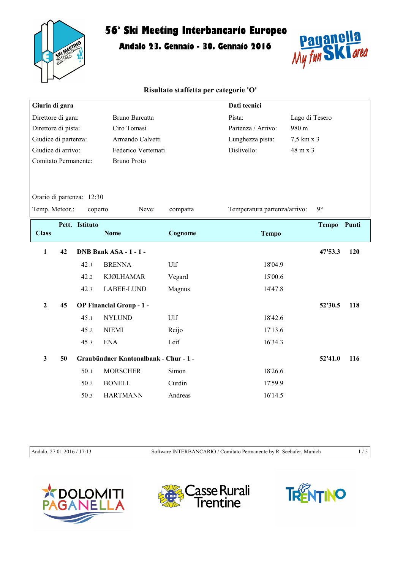

Andalo 23. Gennaio - 30. Gennaio 2016



## Risultato staffetta per categorie 'O'

| Giuria di gara       |    |                           |                                       |          | Dati tecnici                 |                |             |     |
|----------------------|----|---------------------------|---------------------------------------|----------|------------------------------|----------------|-------------|-----|
| Direttore di gara:   |    |                           | <b>Bruno Barcatta</b>                 |          |                              | Lago di Tesero |             |     |
| Direttore di pista:  |    |                           | Ciro Tomasi                           |          | Partenza / Arrivo:           | 980 m          |             |     |
| Giudice di partenza: |    |                           | Armando Calvetti                      |          | Lunghezza pista:             | 7,5 km x 3     |             |     |
| Giudice di arrivo:   |    |                           | Federico Vertemati                    |          | Dislivello:                  | 48 m x 3       |             |     |
| Comitato Permanente: |    |                           | <b>Bruno Proto</b>                    |          |                              |                |             |     |
|                      |    |                           |                                       |          |                              |                |             |     |
|                      |    |                           |                                       |          |                              |                |             |     |
|                      |    | Orario di partenza: 12:30 |                                       |          |                              |                |             |     |
| Temp. Meteor.:       |    | coperto                   | Neve:                                 | compatta | Temperatura partenza/arrivo: |                | $9^\circ$   |     |
|                      |    | Pett. Istituto            |                                       |          |                              |                | Tempo Punti |     |
| <b>Class</b>         |    |                           | <b>Nome</b>                           | Cognome  | <b>Tempo</b>                 |                |             |     |
| $\mathbf{1}$         | 42 |                           | DNB Bank ASA - 1 - 1 -                |          |                              |                | 47'53.3     | 120 |
|                      |    | 42.1                      | <b>BRENNA</b>                         | Ulf      | 18'04.9                      |                |             |     |
|                      |    | 42.2                      | <b>KJØLHAMAR</b>                      | Vegard   | 15'00.6                      |                |             |     |
|                      |    | 42.3                      | LABEE-LUND                            | Magnus   | 14'47.8                      |                |             |     |
| $\overline{2}$       | 45 |                           | <b>OP Financial Group - 1 -</b>       |          |                              |                | 52'30.5     | 118 |
|                      |    | 45.1                      | <b>NYLUND</b>                         | Ulf      | 18'42.6                      |                |             |     |
|                      |    | 45.2                      | <b>NIEMI</b>                          | Reijo    | 17'13.6                      |                |             |     |
|                      |    | 45.3                      | <b>ENA</b>                            | Leif     | 16'34.3                      |                |             |     |
| $\mathbf{3}$         | 50 |                           | Graubündner Kantonalbank - Chur - 1 - |          |                              |                | 52'41.0     | 116 |
|                      |    | 50.1                      | <b>MORSCHER</b>                       | Simon    | 18'26.6                      |                |             |     |
|                      |    | 50.2                      | <b>BONELL</b>                         | Curdin   | 17'59.9                      |                |             |     |
|                      |    | 50.3                      | <b>HARTMANN</b>                       | Andreas  | 16'14.5                      |                |             |     |

Andalo, 27.01.2016 / 17:13 Software INTERBANCARIO / Comitato Permanente by R. Seehafer, Munich 1 / 5





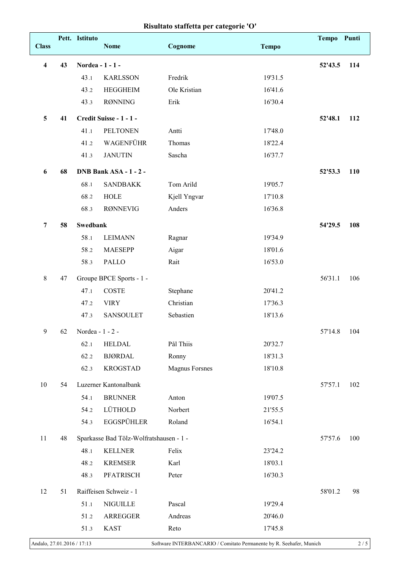## Risultato staffetta per categorie 'O'

|                         |    | Pett. Istituto   |                                         |                       |              | Tempo Punti |     |
|-------------------------|----|------------------|-----------------------------------------|-----------------------|--------------|-------------|-----|
| <b>Class</b>            |    |                  | <b>Nome</b>                             | Cognome               | <b>Tempo</b> |             |     |
| $\overline{\mathbf{4}}$ | 43 | Nordea - 1 - 1 - | 52'43.5                                 | 114                   |              |             |     |
|                         |    | 43.1             | <b>KARLSSON</b>                         | Fredrik               | 19'31.5      |             |     |
|                         |    | 43.2             | <b>HEGGHEIM</b>                         | Ole Kristian          | 16'41.6      |             |     |
|                         |    | 43.3             | <b>RØNNING</b>                          | Erik                  | 16'30.4      |             |     |
| 5                       | 41 |                  | Credit Suisse - 1 - 1 -                 |                       |              | 52'48.1     | 112 |
|                         |    | 41.1             | <b>PELTONEN</b>                         | Antti                 | 17'48.0      |             |     |
|                         |    | 41.2             | WAGENFÜHR                               | Thomas                | 18'22.4      |             |     |
|                         |    | 41.3             | <b>JANUTIN</b>                          | Sascha                | 16'37.7      |             |     |
| 6                       | 68 |                  | DNB Bank ASA - 1 - 2 -                  |                       |              | 52'53.3     | 110 |
|                         |    | 68.1             | <b>SANDBAKK</b>                         | Tom Arild             | 19'05.7      |             |     |
|                         |    | 68.2             | <b>HOLE</b>                             | Kjell Yngvar          | 17'10.8      |             |     |
|                         |    | 68.3             | <b>RØNNEVIG</b>                         | Anders                | 16'36.8      |             |     |
| $\overline{7}$          | 58 | <b>Swedbank</b>  |                                         |                       |              | 54'29.5     | 108 |
|                         |    | 58.1             | <b>LEIMANN</b>                          | Ragnar                | 19'34.9      |             |     |
|                         |    | 58.2             | <b>MAESEPP</b>                          | Aigar                 | 18'01.6      |             |     |
|                         |    | 58.3             | PALLO                                   | Rait                  | 16'53.0      |             |     |
| $\,8\,$                 | 47 |                  | Groupe BPCE Sports - 1 -                |                       |              | 56'31.1     | 106 |
|                         |    | 47.1             | <b>COSTE</b>                            | Stephane              | 20'41.2      |             |     |
|                         |    | 47.2             | <b>VIRY</b>                             | Christian             | 17'36.3      |             |     |
|                         |    | 47.3             | <b>SANSOULET</b>                        | Sebastien             | 18'13.6      |             |     |
| 9                       | 62 | Nordea - 1 - 2 - |                                         |                       |              | 57'14.8     | 104 |
|                         |    | 62.1             | <b>HELDAL</b>                           | Pål Thiis             | 20'32.7      |             |     |
|                         |    | 62.2             | <b>BJØRDAL</b>                          | Ronny                 | 18'31.3      |             |     |
|                         |    | 62.3             | <b>KROGSTAD</b>                         | <b>Magnus Forsnes</b> | 18'10.8      |             |     |
| 10                      | 54 |                  | Luzerner Kantonalbank                   |                       |              | 57'57.1     | 102 |
|                         |    | 54.1             | <b>BRUNNER</b>                          | Anton                 | 19'07.5      |             |     |
|                         |    | 54.2             | LÜTHOLD                                 | Norbert               | 21'55.5      |             |     |
|                         |    | 54.3             | <b>EGGSPÜHLER</b>                       | Roland                | 16'54.1      |             |     |
| 11                      | 48 |                  | Sparkasse Bad Tölz-Wolfratshausen - 1 - |                       |              | 57'57.6     | 100 |
|                         |    | 48.1             | <b>KELLNER</b>                          | Felix                 | 23'24.2      |             |     |
|                         |    | 48.2             | <b>KREMSER</b>                          | Karl                  | 18'03.1      |             |     |
|                         |    | 48.3             | PFATRISCH                               | Peter                 | 16'30.3      |             |     |
| 12                      | 51 |                  | Raiffeisen Schweiz - 1                  |                       |              | 58'01.2     | 98  |
|                         |    | 51.1             | NIGUILLE                                | Pascal                | 19'29.4      |             |     |
|                         |    | 51.2             | ARREGGER                                | Andreas               | 20'46.0      |             |     |
|                         |    | 51.3             | <b>KAST</b>                             | Reto                  | 17'45.8      |             |     |
|                         |    |                  |                                         |                       |              |             |     |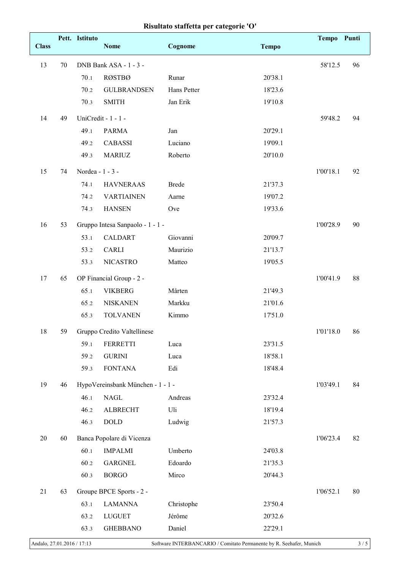|  |  |  | Risultato staffetta per categorie 'O' |  |
|--|--|--|---------------------------------------|--|
|--|--|--|---------------------------------------|--|

| <b>Class</b> |    | Pett. Istituto   | <b>Nome</b>                       | Cognome      | <b>Tempo</b> | <b>Tempo</b> | Punti  |
|--------------|----|------------------|-----------------------------------|--------------|--------------|--------------|--------|
|              |    |                  |                                   |              |              |              |        |
| 13           | 70 |                  | DNB Bank ASA - 1 - 3 -            |              |              | 58'12.5      | 96     |
|              |    | 70.1             | <b>RØSTBØ</b>                     | Runar        | 20'38.1      |              |        |
|              |    | 70.2             | <b>GULBRANDSEN</b>                | Hans Petter  | 18'23.6      |              |        |
|              |    | 70.3             | <b>SMITH</b>                      | Jan Erik     | 19'10.8      |              |        |
| 14           | 49 |                  | UniCredit - 1 - 1 -               |              |              | 59'48.2      | 94     |
|              |    | 49.1             | <b>PARMA</b>                      | Jan          | 20'29.1      |              |        |
|              |    | 49.2             | <b>CABASSI</b>                    | Luciano      | 19'09.1      |              |        |
|              |    | 49.3             | <b>MARIUZ</b>                     | Roberto      | 20'10.0      |              |        |
| 15           | 74 | Nordea - 1 - 3 - |                                   |              |              | 1'00'18.1    | 92     |
|              |    | 74.1             | <b>HAVNERAAS</b>                  | <b>Brede</b> | 21'37.3      |              |        |
|              |    | 74.2             | <b>VARTIAINEN</b>                 | Aarne        | 19'07.2      |              |        |
|              |    | 74.3             | <b>HANSEN</b>                     | Ove          | 19'33.6      |              |        |
| 16           | 53 |                  | Gruppo Intesa Sanpaolo - 1 - 1 -  |              |              | 1'00'28.9    | 90     |
|              |    | 53.1             | <b>CALDART</b>                    | Giovanni     | 20'09.7      |              |        |
|              |    | 53.2             | <b>CARLI</b>                      | Maurizio     | 21'13.7      |              |        |
|              |    | 53.3             | <b>NICASTRO</b>                   | Matteo       | 19'05.5      |              |        |
| 17           | 65 |                  | OP Financial Group - 2 -          |              |              | 1'00'41.9    | 88     |
|              |    | 65.1             | <b>VIKBERG</b>                    | Mårten       | 21'49.3      |              |        |
|              |    | 65.2             | <b>NISKANEN</b>                   | Markku       | 21'01.6      |              |        |
|              |    | 65.3             | <b>TOLVANEN</b>                   | Kimmo        | 17'51.0      |              |        |
| 18           | 59 |                  | Gruppo Credito Valtellinese       |              |              | 1'01'18.0    | 86     |
|              |    | 59.1             | <b>FERRETTI</b>                   | Luca         | 23'31.5      |              |        |
|              |    | 59.2             | <b>GURINI</b>                     | Luca         | 18'58.1      |              |        |
|              |    | 59.3             | <b>FONTANA</b>                    | Edi          | 18'48.4      |              |        |
|              |    |                  |                                   |              |              |              |        |
| 19           | 46 |                  | HypoVereinsbank München - 1 - 1 - |              |              | 1'03'49.1    | 84     |
|              |    | 46.1             | <b>NAGL</b>                       | Andreas      | 23'32.4      |              |        |
|              |    | 46.2             | <b>ALBRECHT</b>                   | Uli          | 18'19.4      |              |        |
|              |    | 46.3             | $\rm DOLD$                        | Ludwig       | 21'57.3      |              |        |
| 20           | 60 |                  | Banca Popolare di Vicenza         |              |              | 1'06'23.4    | 82     |
|              |    | 60.1             | <b>IMPALMI</b>                    | Umberto      | 24'03.8      |              |        |
|              |    | 60.2             | <b>GARGNEL</b>                    | Edoardo      | 21'35.3      |              |        |
|              |    | 60.3             | <b>BORGO</b>                      | Mirco        | 20'44.3      |              |        |
| 21           | 63 |                  | Groupe BPCE Sports - 2 -          |              |              | 1'06'52.1    | $80\,$ |
|              |    | 63.1             | <b>LAMANNA</b>                    | Christophe   | 23'50.4      |              |        |
|              |    | 63.2             | <b>LUGUET</b>                     | Jérôme       | 20'32.6      |              |        |
|              |    | 63.3             | <b>GHEBBANO</b>                   | Daniel       | 22'29.1      |              |        |
|              |    |                  |                                   |              |              |              |        |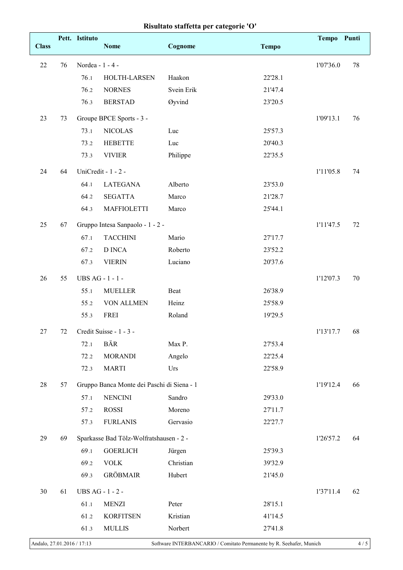| Risultato staffetta per categorie 'O' |  |  |  |  |
|---------------------------------------|--|--|--|--|
|---------------------------------------|--|--|--|--|

|              |    | Pett. Istituto   |                                            |            |              | Tempo Punti |        |
|--------------|----|------------------|--------------------------------------------|------------|--------------|-------------|--------|
| <b>Class</b> |    |                  | <b>Nome</b>                                | Cognome    | <b>Tempo</b> |             |        |
| 22           | 76 | Nordea - 1 - 4 - | 1'07'36.0                                  | 78         |              |             |        |
|              |    | 76.1             | HOLTH-LARSEN                               | Haakon     | 22'28.1      |             |        |
|              |    | 76.2             | <b>NORNES</b>                              | Svein Erik | 21'47.4      |             |        |
|              |    | 76.3             | <b>BERSTAD</b>                             | Øyvind     | 23'20.5      |             |        |
| 23           | 73 |                  | Groupe BPCE Sports - 3 -                   |            |              | 1'09'13.1   | 76     |
|              |    | 73.1             | <b>NICOLAS</b>                             | Luc        | 25'57.3      |             |        |
|              |    | 73.2             | <b>HEBETTE</b>                             | Luc        | 20'40.3      |             |        |
|              |    | 73.3             | <b>VIVIER</b>                              | Philippe   | 22'35.5      |             |        |
| 24           | 64 |                  | UniCredit - 1 - 2 -                        |            |              | 1'11'05.8   | 74     |
|              |    | 64.1             | <b>LATEGANA</b>                            | Alberto    | 23'53.0      |             |        |
|              |    | 64.2             | <b>SEGATTA</b>                             | Marco      | 21'28.7      |             |        |
|              |    | 64.3             | <b>MAFFIOLETTI</b>                         | Marco      | 25'44.1      |             |        |
| 25           | 67 |                  | Gruppo Intesa Sanpaolo - 1 - 2 -           |            |              | 1'11'47.5   | 72     |
|              |    | 67.1             | <b>TACCHINI</b>                            | Mario      | 27'17.7      |             |        |
|              |    | 67.2             | <b>D</b> INCA                              | Roberto    | 23'52.2      |             |        |
|              |    | 67.3             | <b>VIERIN</b>                              | Luciano    | 20'37.6      |             |        |
| 26           | 55 | UBS AG - 1 - 1 - |                                            |            |              | 1'12'07.3   | $70\,$ |
|              |    | 55.1             | <b>MUELLER</b>                             | Beat       | 26'38.9      |             |        |
|              |    | 55.2             | VON ALLMEN                                 | Heinz      | 25'58.9      |             |        |
|              |    | 55.3             | FREI                                       | Roland     | 19'29.5      |             |        |
| 27           | 72 |                  | Credit Suisse - 1 - 3 -                    |            |              | 1'13'17.7   | 68     |
|              |    | 72.1             | BÄR                                        | Max P.     | 27'53.4      |             |        |
|              |    | 72.2             | <b>MORANDI</b>                             | Angelo     | 22'25.4      |             |        |
|              |    | 72.3             | <b>MARTI</b>                               | Urs        | 22'58.9      |             |        |
| 28           | 57 |                  | Gruppo Banca Monte dei Paschi di Siena - 1 |            |              | 1'19'12.4   | 66     |
|              |    | 57.1             | <b>NENCINI</b>                             | Sandro     | 29'33.0      |             |        |
|              |    | 57.2             | <b>ROSSI</b>                               | Moreno     | 27'11.7      |             |        |
|              |    | 57.3             | <b>FURLANIS</b>                            | Gervasio   | 22'27.7      |             |        |
| 29           | 69 |                  | Sparkasse Bad Tölz-Wolfratshausen - 2 -    |            |              | 1'26'57.2   | 64     |
|              |    | 69.1             | <b>GOERLICH</b>                            | Jürgen     | 25'39.3      |             |        |
|              |    | 69.2             | <b>VOLK</b>                                | Christian  | 39'32.9      |             |        |
|              |    | 69.3             | <b>GRÖBMAIR</b>                            | Hubert     | 21'45.0      |             |        |
| 30           | 61 | UBS AG - 1 - 2 - |                                            |            |              | 1'37'11.4   | 62     |
|              |    | 61.1             | <b>MENZI</b>                               | Peter      | 28'15.1      |             |        |
|              |    | 61.2             | <b>KORFITSEN</b>                           | Kristian   | 41'14.5      |             |        |
|              |    | 61.3             | <b>MULLIS</b>                              | Norbert    | 27'41.8      |             |        |
|              |    |                  |                                            |            |              |             |        |